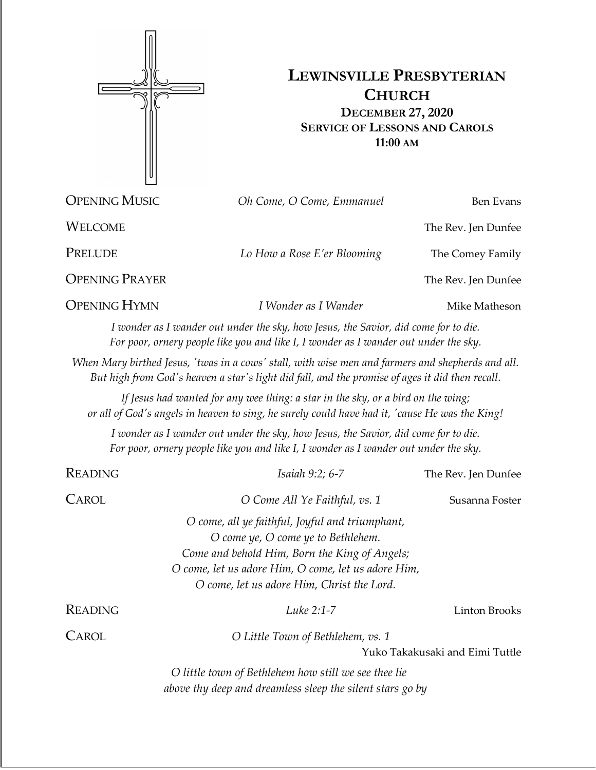

## **LEWINSVILLE PRESBYTERIAN CHURCH DECEMBER 27, 2020 SERVICE OF LESSONS AND CAROLS 11:00 AM**

OPENING MUSIC *Oh Come, O Come, Emmanuel* Ben Evans WELCOME The Rev. Jen Dunfee PRELUDE *Lo How a Rose E'er Blooming* The Comey Family **OPENING PRAYER** The Rev. Jen Dunfee **OPENING HYMN** *I Wonder as I Wander* Mike Matheson *I wonder as I wander out under the sky, how Jesus, the Savior, did come for to die. For poor, ornery people like you and like I, I wonder as I wander out under the sky. When Mary birthed Jesus, 'twas in a cows' stall, with wise men and farmers and shepherds and all. But high from God's heaven a star's light did fall, and the promise of ages it did then recall. If Jesus had wanted for any wee thing: a star in the sky, or a bird on the wing; or all of God's angels in heaven to sing, he surely could have had it, 'cause He was the King! I wonder as I wander out under the sky, how Jesus, the Savior, did come for to die. For poor, ornery people like you and like I, I wonder as I wander out under the sky.* READING *Isaiah 9:2; 6-7* The Rev. Jen Dunfee CAROL *O Come All Ye Faithful, vs. 1* Susanna Foster *O come, all ye faithful, Joyful and triumphant, O come ye, O come ye to Bethlehem. Come and behold Him, Born the King of Angels; O come, let us adore Him, O come, let us adore Him, O come, let us adore Him, Christ the Lord.* READING *Luke 2:1-7* Linton Brooks CAROL *O Little Town of Bethlehem, vs. 1* Yuko Takakusaki and Eimi Tuttle *O little town of Bethlehem how still we see thee lie above thy deep and dreamless sleep the silent stars go by*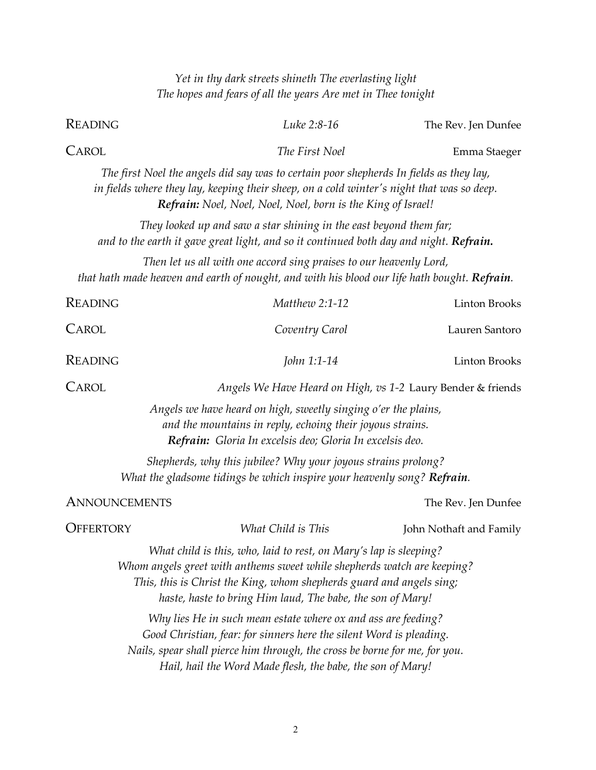|                      | Yet in thy dark streets shineth The everlasting light<br>The hopes and fears of all the years Are met in Thee tonight                                                                                                                                                              |                         |
|----------------------|------------------------------------------------------------------------------------------------------------------------------------------------------------------------------------------------------------------------------------------------------------------------------------|-------------------------|
| READING              | Luke 2:8-16                                                                                                                                                                                                                                                                        | The Rev. Jen Dunfee     |
| CAROL                | The First Noel                                                                                                                                                                                                                                                                     | Emma Staeger            |
|                      | The first Noel the angels did say was to certain poor shepherds In fields as they lay,<br>in fields where they lay, keeping their sheep, on a cold winter's night that was so deep.<br>Refrain: Noel, Noel, Noel, Noel, born is the King of Israel!                                |                         |
|                      | They looked up and saw a star shining in the east beyond them far;<br>and to the earth it gave great light, and so it continued both day and night. Refrain.                                                                                                                       |                         |
|                      | Then let us all with one accord sing praises to our heavenly Lord,<br>that hath made heaven and earth of nought, and with his blood our life hath bought. Refrain.                                                                                                                 |                         |
| <b>READING</b>       | Matthew 2:1-12                                                                                                                                                                                                                                                                     | <b>Linton Brooks</b>    |
| CAROL                | Coventry Carol                                                                                                                                                                                                                                                                     | Lauren Santoro          |
| READING              | John 1:1-14                                                                                                                                                                                                                                                                        | <b>Linton Brooks</b>    |
| CAROL                | Angels We Have Heard on High, vs 1-2 Laury Bender & friends                                                                                                                                                                                                                        |                         |
|                      | Angels we have heard on high, sweetly singing o'er the plains,<br>and the mountains in reply, echoing their joyous strains.<br>Refrain: Gloria In excelsis deo; Gloria In excelsis deo.                                                                                            |                         |
|                      | Shepherds, why this jubilee? Why your joyous strains prolong?<br>What the gladsome tidings be which inspire your heavenly song? Refrain.                                                                                                                                           |                         |
| <b>ANNOUNCEMENTS</b> |                                                                                                                                                                                                                                                                                    | The Rev. Jen Dunfee     |
| <b>OFFERTORY</b>     | What Child is This                                                                                                                                                                                                                                                                 | John Nothaft and Family |
|                      | What child is this, who, laid to rest, on Mary's lap is sleeping?<br>Whom angels greet with anthems sweet while shepherds watch are keeping?<br>This, this is Christ the King, whom shepherds guard and angels sing;<br>haste, haste to bring Him laud, The babe, the son of Mary! |                         |
|                      | Why lies He in such mean estate where ox and ass are feeding?<br>Good Christian, fear: for sinners here the silent Word is pleading.<br>Nails, spear shall pierce him through, the cross be borne for me, for you.<br>Hail, hail the Word Made flesh, the babe, the son of Mary!   |                         |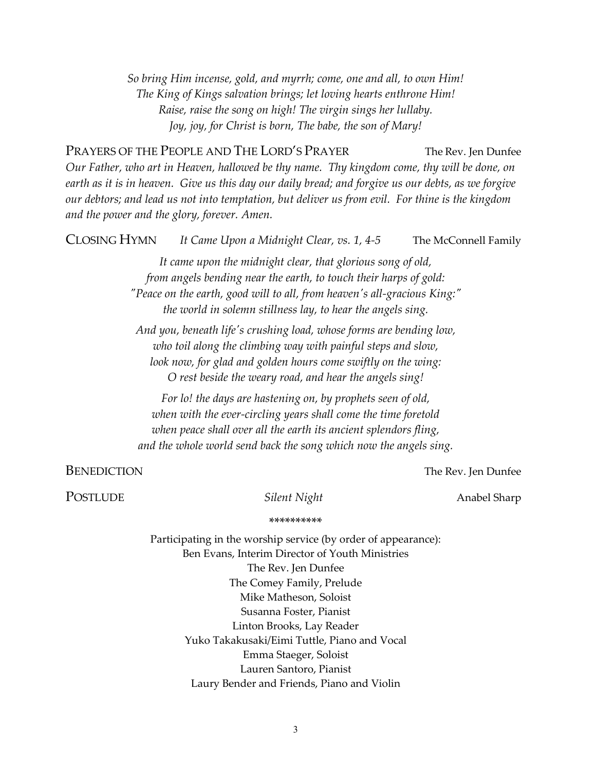*So bring Him incense, gold, and myrrh; come, one and all, to own Him! The King of Kings salvation brings; let loving hearts enthrone Him! Raise, raise the song on high! The virgin sings her lullaby. Joy, joy, for Christ is born, The babe, the son of Mary!*

PRAYERS OF THE PEOPLE AND THE LORD'S PRAYER The Rev. Jen Dunfee *Our Father, who art in Heaven, hallowed be thy name. Thy kingdom come, thy will be done, on earth as it is in heaven. Give us this day our daily bread; and forgive us our debts, as we forgive our debtors; and lead us not into temptation, but deliver us from evil. For thine is the kingdom and the power and the glory, forever. Amen.* 

| <b>CLOSING HYMN</b> | It Came Upon a Midnight Clear, vs. 1, 4-5                                                                                                                                                                                                                                   | The McConnell Family |
|---------------------|-----------------------------------------------------------------------------------------------------------------------------------------------------------------------------------------------------------------------------------------------------------------------------|----------------------|
|                     | It came upon the midnight clear, that glorious song of old,<br>from angels bending near the earth, to touch their harps of gold:<br>"Peace on the earth, good will to all, from heaven's all-gracious King:"<br>the world in solemn stillness lay, to hear the angels sing. |                      |
|                     | And you, beneath life's crushing load, whose forms are bending low,<br>who toil along the climbing way with painful steps and slow,<br>look now, for glad and golden hours come swiftly on the wing:<br>O rest beside the weary road, and hear the angels sing!             |                      |
|                     | For lo! the days are hastening on, by prophets seen of old,<br>when with the ever-circling years shall come the time foretold<br>when peace shall over all the earth its ancient splendors fling,<br>and the whole world send back the song which now the angels sing.      |                      |
| <b>BENEDICTION</b>  |                                                                                                                                                                                                                                                                             | The Rev. Jen Dunfee  |
| <b>POSTLUDE</b>     | Silent Night                                                                                                                                                                                                                                                                | Anabel Sharp         |
|                     | **********                                                                                                                                                                                                                                                                  |                      |
|                     | Participating in the worship service (by order of appearance):<br>Ben Evans, Interim Director of Youth Ministries                                                                                                                                                           |                      |

The Rev. Jen Dunfee The Comey Family, Prelude Mike Matheson, Soloist Susanna Foster, Pianist Linton Brooks, Lay Reader Yuko Takakusaki/Eimi Tuttle, Piano and Vocal Emma Staeger, Soloist Lauren Santoro, Pianist Laury Bender and Friends, Piano and Violin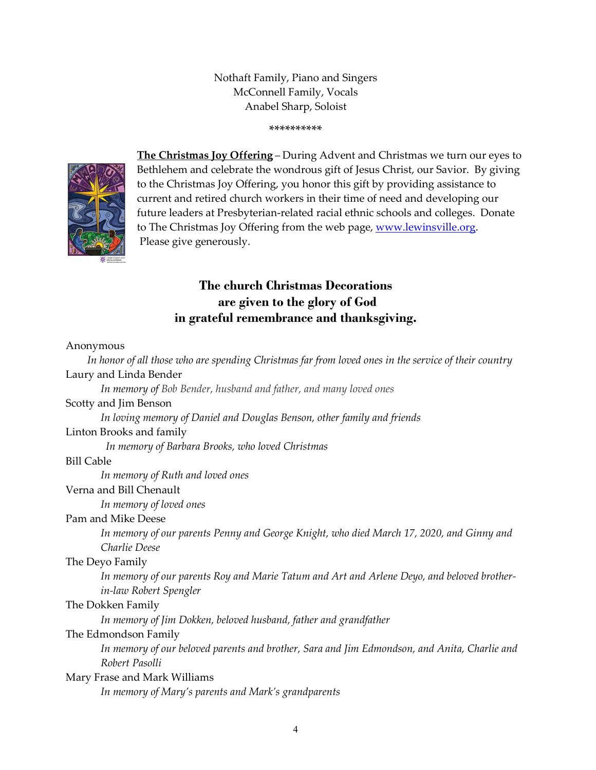Nothaft Family, Piano and Singers McConnell Family, Vocals Anabel Sharp, Soloist

\*\*\*\*\*\*\*\*\*\*



**The Christmas Joy Offering** – During Advent and Christmas we turn our eyes to Bethlehem and celebrate the wondrous gift of Jesus Christ, our Savior. By giving to the Christmas Joy Offering, you honor this gift by providing assistance to current and retired church workers in their time of need and developing our future leaders at Presbyterian-related racial ethnic schools and colleges. Donate to The Christmas Joy Offering from the web page, [www.lewinsville.org.](http://www.lewinsville.org/) Please give generously.

## **The church Christmas Decorations are given to the glory of God in grateful remembrance and thanksgiving.**

## Anonymous

 *In honor of all those who are spending Christmas far from loved ones in the service of their country* Laury and Linda Bender *In memory of Bob Bender, husband and father, and many loved ones* Scotty and Jim Benson *In loving memory of Daniel and Douglas Benson, other family and friends* Linton Brooks and family  *In memory of Barbara Brooks, who loved Christmas* Bill Cable *In memory of Ruth and loved ones* Verna and Bill Chenault *In memory of loved ones* Pam and Mike Deese *In memory of our parents Penny and George Knight, who died March 17, 2020, and Ginny and Charlie Deese* The Deyo Family *In memory of our parents Roy and Marie Tatum and Art and Arlene Deyo, and beloved brotherin-law Robert Spengler* The Dokken Family *In memory of Jim Dokken, beloved husband, father and grandfather* The Edmondson Family *In memory of our beloved parents and brother, Sara and Jim Edmondson, and Anita, Charlie and Robert Pasolli* Mary Frase and Mark Williams *In memory of Mary's parents and Mark's grandparents*